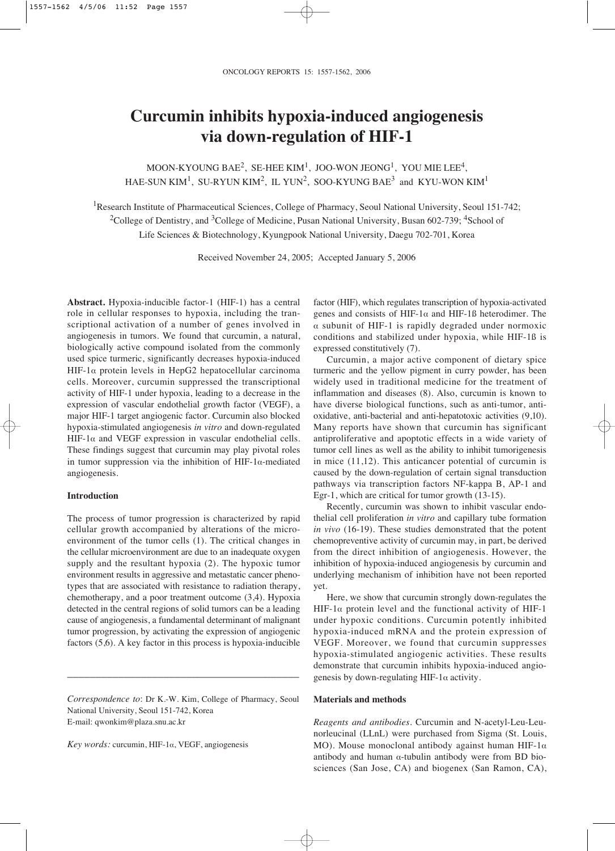# **Curcumin inhibits hypoxia-induced angiogenesis via down-regulation of HIF-1**

MOON-KYOUNG BAE<sup>2</sup>, SE-HEE KIM<sup>1</sup>, JOO-WON JEONG<sup>1</sup>, YOU MIE LEE<sup>4</sup>. HAE-SUN KIM<sup>1</sup>, SU-RYUN KIM<sup>2</sup>, IL YUN<sup>2</sup>, SOO-KYUNG BAE<sup>3</sup> and KYU-WON KIM<sup>1</sup>

<sup>1</sup>Research Institute of Pharmaceutical Sciences, College of Pharmacy, Seoul National University, Seoul 151-742; <sup>2</sup>College of Dentistry, and <sup>3</sup>College of Medicine, Pusan National University, Busan 602-739; <sup>4</sup>School of Life Sciences & Biotechnology, Kyungpook National University, Daegu 702-701, Korea

Received November 24, 2005; Accepted January 5, 2006

**Abstract.** Hypoxia-inducible factor-1 (HIF-1) has a central role in cellular responses to hypoxia, including the transcriptional activation of a number of genes involved in angiogenesis in tumors. We found that curcumin, a natural, biologically active compound isolated from the commonly used spice turmeric, significantly decreases hypoxia-induced HIF-1 $\alpha$  protein levels in HepG2 hepatocellular carcinoma cells. Moreover, curcumin suppressed the transcriptional activity of HIF-1 under hypoxia, leading to a decrease in the expression of vascular endothelial growth factor (VEGF), a major HIF-1 target angiogenic factor. Curcumin also blocked hypoxia-stimulated angiogenesis *in vitro* and down-regulated HIF-1 $\alpha$  and VEGF expression in vascular endothelial cells. These findings suggest that curcumin may play pivotal roles in tumor suppression via the inhibition of HIF-1 $\alpha$ -mediated angiogenesis.

# **Introduction**

The process of tumor progression is characterized by rapid cellular growth accompanied by alterations of the microenvironment of the tumor cells (1). The critical changes in the cellular microenvironment are due to an inadequate oxygen supply and the resultant hypoxia (2). The hypoxic tumor environment results in aggressive and metastatic cancer phenotypes that are associated with resistance to radiation therapy, chemotherapy, and a poor treatment outcome (3,4). Hypoxia detected in the central regions of solid tumors can be a leading cause of angiogenesis, a fundamental determinant of malignant tumor progression, by activating the expression of angiogenic factors (5,6). A key factor in this process is hypoxia-inducible

*Correspondence to*: Dr K.-W. Kim, College of Pharmacy, Seoul National University, Seoul 151-742, Korea E-mail: qwonkim@plaza.snu.ac.kr

\_\_\_\_\_\_\_\_\_\_\_\_\_\_\_\_\_\_\_\_\_\_\_\_\_\_\_\_\_\_\_\_\_\_\_\_\_\_\_\_\_

*Key words:* curcumin, HIF-1 $\alpha$ , VEGF, angiogenesis

factor (HIF), which regulates transcription of hypoxia-activated genes and consists of HIF-1 $\alpha$  and HIF-1ß heterodimer. The  $\alpha$  subunit of HIF-1 is rapidly degraded under normoxic conditions and stabilized under hypoxia, while HIF-1ß is expressed constitutively (7).

Curcumin, a major active component of dietary spice turmeric and the yellow pigment in curry powder, has been widely used in traditional medicine for the treatment of inflammation and diseases (8). Also, curcumin is known to have diverse biological functions, such as anti-tumor, antioxidative, anti-bacterial and anti-hepatotoxic activities (9,10). Many reports have shown that curcumin has significant antiproliferative and apoptotic effects in a wide variety of tumor cell lines as well as the ability to inhibit tumorigenesis in mice (11,12). This anticancer potential of curcumin is caused by the down-regulation of certain signal transduction pathways via transcription factors NF-kappa B, AP-1 and Egr-1, which are critical for tumor growth (13-15).

Recently, curcumin was shown to inhibit vascular endothelial cell proliferation *in vitro* and capillary tube formation *in vivo* (16-19). These studies demonstrated that the potent chemopreventive activity of curcumin may, in part, be derived from the direct inhibition of angiogenesis. However, the inhibition of hypoxia-induced angiogenesis by curcumin and underlying mechanism of inhibition have not been reported yet.

Here, we show that curcumin strongly down-regulates the HIF-1 $\alpha$  protein level and the functional activity of HIF-1 under hypoxic conditions. Curcumin potently inhibited hypoxia-induced mRNA and the protein expression of VEGF. Moreover, we found that curcumin suppresses hypoxia-stimulated angiogenic activities. These results demonstrate that curcumin inhibits hypoxia-induced angiogenesis by down-regulating HIF-1 $\alpha$  activity.

## **Materials and methods**

*Reagents and antibodies*. Curcumin and N-acetyl-Leu-Leunorleucinal (LLnL) were purchased from Sigma (St. Louis, MO). Mouse monoclonal antibody against human HIF-1 $\alpha$ antibody and human  $\alpha$ -tubulin antibody were from BD biosciences (San Jose, CA) and biogenex (San Ramon, CA),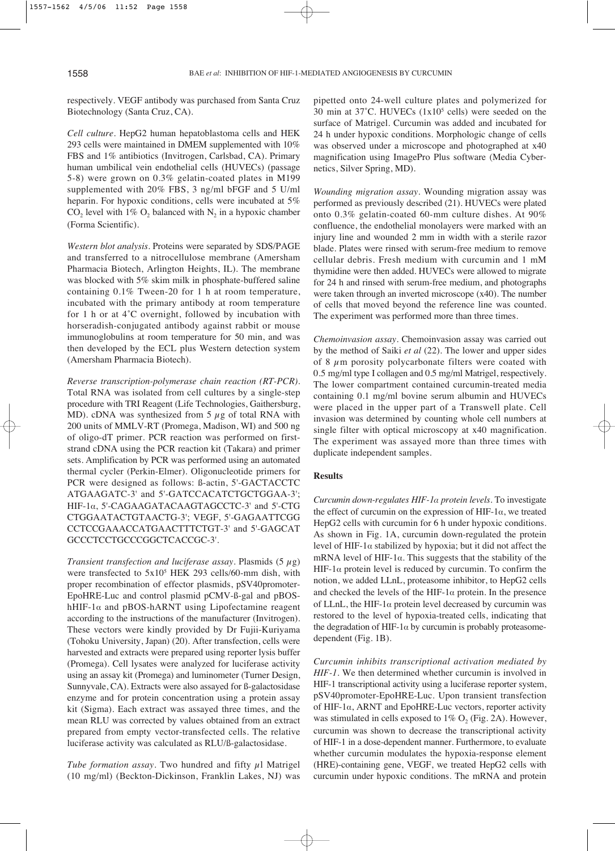respectively. VEGF antibody was purchased from Santa Cruz Biotechnology (Santa Cruz, CA).

*Cell culture*. HepG2 human hepatoblastoma cells and HEK 293 cells were maintained in DMEM supplemented with 10% FBS and 1% antibiotics (Invitrogen, Carlsbad, CA). Primary human umbilical vein endothelial cells (HUVECs) (passage 5-8) were grown on 0.3% gelatin-coated plates in M199 supplemented with 20% FBS, 3 ng/ml bFGF and 5 U/ml heparin. For hypoxic conditions, cells were incubated at 5%  $CO_2$  level with 1%  $O_2$  balanced with  $N_2$  in a hypoxic chamber (Forma Scientific).

*Western blot analysis*. Proteins were separated by SDS/PAGE and transferred to a nitrocellulose membrane (Amersham Pharmacia Biotech, Arlington Heights, IL). The membrane was blocked with 5% skim milk in phosphate-buffered saline containing 0.1% Tween-20 for 1 h at room temperature, incubated with the primary antibody at room temperature for 1 h or at 4˚C overnight, followed by incubation with horseradish-conjugated antibody against rabbit or mouse immunoglobulins at room temperature for 50 min, and was then developed by the ECL plus Western detection system (Amersham Pharmacia Biotech).

*Reverse transcription-polymerase chain reaction (RT-PCR)*. Total RNA was isolated from cell cultures by a single-step procedure with TRI Reagent (Life Technologies, Gaithersburg, MD). cDNA was synthesized from 5  $\mu$ g of total RNA with 200 units of MMLV-RT (Promega, Madison, WI) and 500 ng of oligo-dT primer. PCR reaction was performed on firststrand cDNA using the PCR reaction kit (Takara) and primer sets. Amplification by PCR was performed using an automated thermal cycler (Perkin-Elmer). Oligonucleotide primers for PCR were designed as follows: ß-actin, 5'-GACTACCTC ATGAAGATC-3' and 5'-GATCCACATCTGCTGGAA-3'; HIF-1a, 5'-CAGAAGATACAAGTAGCCTC-3' and 5'-CTG CTGGAATACTGTAACTG-3'; VEGF, 5'-GAGAATTCGG CCTCCGAAACCATGAACTTTCTGT-3' and 5'-GAGCAT GCCCTCCTGCCCGGCTCACCGC-3'.

*Transient transfection and luciferase assay*. Plasmids (5 μg) were transfected to 5x10<sup>5</sup> HEK 293 cells/60-mm dish, with proper recombination of effector plasmids, pSV40promoter-EpoHRE-Luc and control plasmid pCMV-ß-gal and pBOShHIF-1 $\alpha$  and pBOS-hARNT using Lipofectamine reagent according to the instructions of the manufacturer (Invitrogen). These vectors were kindly provided by Dr Fujii-Kuriyama (Tohoku University, Japan) (20). After transfection, cells were harvested and extracts were prepared using reporter lysis buffer (Promega). Cell lysates were analyzed for luciferase activity using an assay kit (Promega) and luminometer (Turner Design, Sunnyvale, CA). Extracts were also assayed for ß-galactosidase enzyme and for protein concentration using a protein assay kit (Sigma). Each extract was assayed three times, and the mean RLU was corrected by values obtained from an extract prepared from empty vector-transfected cells. The relative luciferase activity was calculated as RLU/ß-galactosidase.

*Tube formation assay*. Two hundred and fifty μl Matrigel (10 mg/ml) (Beckton-Dickinson, Franklin Lakes, NJ) was pipetted onto 24-well culture plates and polymerized for 30 min at 37˚C. HUVECs (1x105 cells) were seeded on the surface of Matrigel. Curcumin was added and incubated for 24 h under hypoxic conditions. Morphologic change of cells was observed under a microscope and photographed at x40 magnification using ImagePro Plus software (Media Cybernetics, Silver Spring, MD).

*Wounding migration assay*. Wounding migration assay was performed as previously described (21). HUVECs were plated onto 0.3% gelatin-coated 60-mm culture dishes. At 90% confluence, the endothelial monolayers were marked with an injury line and wounded 2 mm in width with a sterile razor blade. Plates were rinsed with serum-free medium to remove cellular debris. Fresh medium with curcumin and 1 mM thymidine were then added. HUVECs were allowed to migrate for 24 h and rinsed with serum-free medium, and photographs were taken through an inverted microscope (x40). The number of cells that moved beyond the reference line was counted. The experiment was performed more than three times.

*Chemoinvasion assay*. Chemoinvasion assay was carried out by the method of Saiki *et al* (22). The lower and upper sides of 8  $\mu$ m porosity polycarbonate filters were coated with 0.5 mg/ml type I collagen and 0.5 mg/ml Matrigel, respectively. The lower compartment contained curcumin-treated media containing 0.1 mg/ml bovine serum albumin and HUVECs were placed in the upper part of a Transwell plate. Cell invasion was determined by counting whole cell numbers at single filter with optical microscopy at x40 magnification. The experiment was assayed more than three times with duplicate independent samples.

### **Results**

*Curcumin down-regulates HIF-1· protein levels*. To investigate the effect of curcumin on the expression of HIF-1 $\alpha$ , we treated HepG2 cells with curcumin for 6 h under hypoxic conditions. As shown in Fig. 1A, curcumin down-regulated the protein level of HIF-1 $\alpha$  stabilized by hypoxia; but it did not affect the mRNA level of HIF-1 $\alpha$ . This suggests that the stability of the HIF-1 $\alpha$  protein level is reduced by curcumin. To confirm the notion, we added LLnL, proteasome inhibitor, to HepG2 cells and checked the levels of the HIF-1 $\alpha$  protein. In the presence of LLnL, the HIF-1 $\alpha$  protein level decreased by curcumin was restored to the level of hypoxia-treated cells, indicating that the degradation of HIF-1 $\alpha$  by curcumin is probably proteasomedependent (Fig. 1B).

*Curcumin inhibits transcriptional activation mediated by HIF-1*. We then determined whether curcumin is involved in HIF-1 transcriptional activity using a luciferase reporter system, pSV40promoter-EpoHRE-Luc. Upon transient transfection of HIF-1 $\alpha$ , ARNT and EpoHRE-Luc vectors, reporter activity was stimulated in cells exposed to  $1\%$  O<sub>2</sub> (Fig. 2A). However, curcumin was shown to decrease the transcriptional activity of HIF-1 in a dose-dependent manner. Furthermore, to evaluate whether curcumin modulates the hypoxia-response element (HRE)-containing gene, VEGF, we treated HepG2 cells with curcumin under hypoxic conditions. The mRNA and protein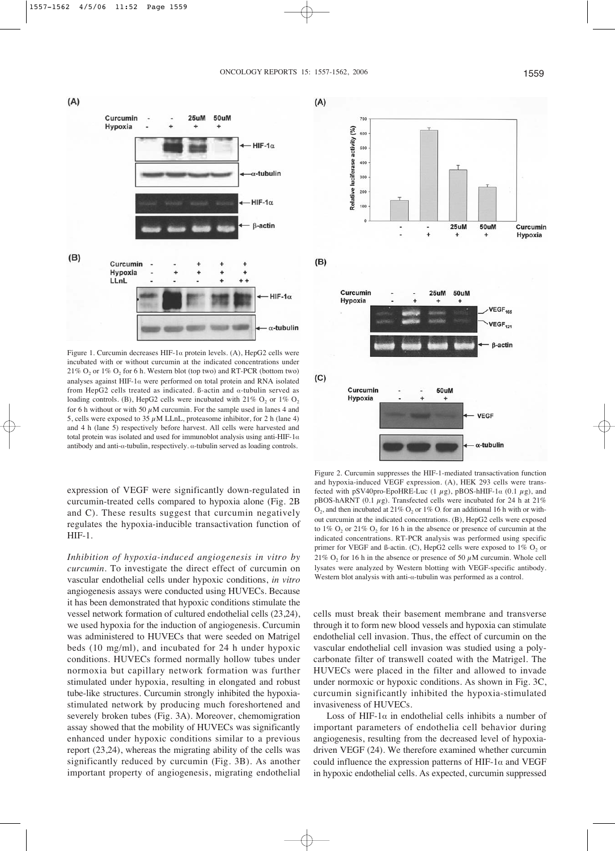$(A)$ 



Figure 1. Curcumin decreases HIF-1 $\alpha$  protein levels. (A), HepG2 cells were incubated with or without curcumin at the indicated concentrations under  $21\%$  O<sub>2</sub> or  $1\%$  O<sub>2</sub> for 6 h. Western blot (top two) and RT-PCR (bottom two) analyses against HIF-1 $\alpha$  were performed on total protein and RNA isolated from HepG2 cells treated as indicated. B-actin and  $\alpha$ -tubulin served as loading controls. (B), HepG2 cells were incubated with  $21\%$  O<sub>2</sub> or  $1\%$  O<sub>2</sub> for 6 h without or with 50  $\mu$ M curcumin. For the sample used in lanes 4 and 5, cells were exposed to 35  $\mu$ M LLnL, proteasome inhibitor, for 2 h (lane 4) and 4 h (lane 5) respectively before harvest. All cells were harvested and total protein was isolated and used for immunoblot analysis using anti-HIF-1 $\alpha$ antibody and anti- $\alpha$ -tubulin, respectively.  $\alpha$ -tubulin served as loading controls.

Hypoxia **VEGF**  $\alpha$ -tubulin Figure 2. Curcumin suppresses the HIF-1-mediated transactivation function and hypoxia-induced VEGF expression. (A), HEK 293 cells were transfected with pSV40pro-EpoHRE-Luc (1  $\mu$ g), pBOS-hHIF-1 $\alpha$  (0.1  $\mu$ g), and pBOS-hARNT (0.1  $\mu$ g). Transfected cells were incubated for 24 h at 21%  $O_2$ , and then incubated at 21%  $O_2$  or 1%  $O_1$  for an additional 16 h with or without curcumin at the indicated concentrations. (B), HepG2 cells were exposed to  $1\%$  O<sub>2</sub> or  $21\%$  O<sub>2</sub> for 16 h in the absence or presence of curcumin at the indicated concentrations. RT-PCR analysis was performed using specific primer for VEGF and ß-actin. (C), HepG2 cells were exposed to  $1\%$  O<sub>2</sub> or

expression of VEGF were significantly down-regulated in curcumin-treated cells compared to hypoxia alone (Fig. 2B and C). These results suggest that curcumin negatively regulates the hypoxia-inducible transactivation function of HIF-1.

*Inhibition of hypoxia-induced angiogenesis in vitro by curcumin*. To investigate the direct effect of curcumin on vascular endothelial cells under hypoxic conditions, *in vitro* angiogenesis assays were conducted using HUVECs. Because it has been demonstrated that hypoxic conditions stimulate the vessel network formation of cultured endothelial cells (23,24), we used hypoxia for the induction of angiogenesis. Curcumin was administered to HUVECs that were seeded on Matrigel beds (10 mg/ml), and incubated for 24 h under hypoxic conditions. HUVECs formed normally hollow tubes under normoxia but capillary network formation was further stimulated under hypoxia, resulting in elongated and robust tube-like structures. Curcumin strongly inhibited the hypoxiastimulated network by producing much foreshortened and severely broken tubes (Fig. 3A). Moreover, chemomigration assay showed that the mobility of HUVECs was significantly enhanced under hypoxic conditions similar to a previous report (23,24), whereas the migrating ability of the cells was significantly reduced by curcumin (Fig. 3B). As another important property of angiogenesis, migrating endothelial

cells must break their basement membrane and transverse through it to form new blood vessels and hypoxia can stimulate endothelial cell invasion. Thus, the effect of curcumin on the vascular endothelial cell invasion was studied using a polycarbonate filter of transwell coated with the Matrigel. The HUVECs were placed in the filter and allowed to invade under normoxic or hypoxic conditions. As shown in Fig. 3C, curcumin significantly inhibited the hypoxia-stimulated invasiveness of HUVECs.

21%  $O_2$  for 16 h in the absence or presence of 50  $\mu$ M curcumin. Whole cell lysates were analyzed by Western blotting with VEGF-specific antibody. Western blot analysis with anti- $\alpha$ -tubulin was performed as a control.

Loss of HIF-1 $\alpha$  in endothelial cells inhibits a number of important parameters of endothelia cell behavior during angiogenesis, resulting from the decreased level of hypoxiadriven VEGF (24). We therefore examined whether curcumin could influence the expression patterns of HIF-1 $\alpha$  and VEGF in hypoxic endothelial cells. As expected, curcumin suppressed

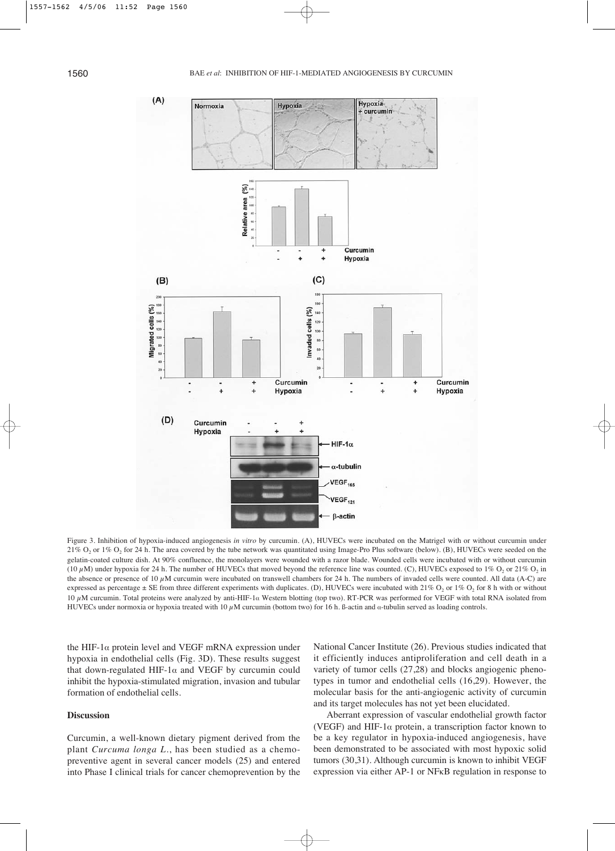

Figure 3. Inhibition of hypoxia-induced angiogenesis *in vitro* by curcumin. (A), HUVECs were incubated on the Matrigel with or without curcumin under 21% O<sub>2</sub> or 1% O<sub>2</sub> for 24 h. The area covered by the tube network was quantitated using Image-Pro Plus software (below). (B), HUVECs were seeded on the gelatin-coated culture dish. At 90% confluence, the monolayers were wounded with a razor blade. Wounded cells were incubated with or without curcumin (10  $\mu$ M) under hypoxia for 24 h. The number of HUVECs that moved beyond the reference line was counted. (C), HUVECs exposed to 1% O<sub>2</sub> or 21% O<sub>2</sub> in the absence or presence of 10  $\mu$ M curcumin were incubated on transwell chambers for 24 h. The numbers of invaded cells were counted. All data (A-C) are expressed as percentage  $\pm$  SE from three different experiments with duplicates. (D), HUVECs were incubated with 21% O<sub>2</sub> or 1% O<sub>2</sub> for 8 h with or without 10 μM curcumin. Total proteins were analyzed by anti-HIF-1α Western blotting (top two). RT-PCR was performed for VEGF with total RNA isolated from HUVECs under normoxia or hypoxia treated with 10  $\mu$ M curcumin (bottom two) for 16 h. ß-actin and *a*-tubulin served as loading controls.

the HIF-1 $\alpha$  protein level and VEGF mRNA expression under hypoxia in endothelial cells (Fig. 3D). These results suggest that down-regulated HIF-1 $\alpha$  and VEGF by curcumin could inhibit the hypoxia-stimulated migration, invasion and tubular formation of endothelial cells.

#### **Discussion**

Curcumin, a well-known dietary pigment derived from the plant *Curcuma longa L.*, has been studied as a chemopreventive agent in several cancer models (25) and entered into Phase I clinical trials for cancer chemoprevention by the National Cancer Institute (26). Previous studies indicated that it efficiently induces antiproliferation and cell death in a variety of tumor cells (27,28) and blocks angiogenic phenotypes in tumor and endothelial cells (16,29). However, the molecular basis for the anti-angiogenic activity of curcumin and its target molecules has not yet been elucidated.

Aberrant expression of vascular endothelial growth factor (VEGF) and HIF-1 $\alpha$  protein, a transcription factor known to be a key regulator in hypoxia-induced angiogenesis, have been demonstrated to be associated with most hypoxic solid tumors (30,31). Although curcumin is known to inhibit VEGF expression via either AP-1 or NFκB regulation in response to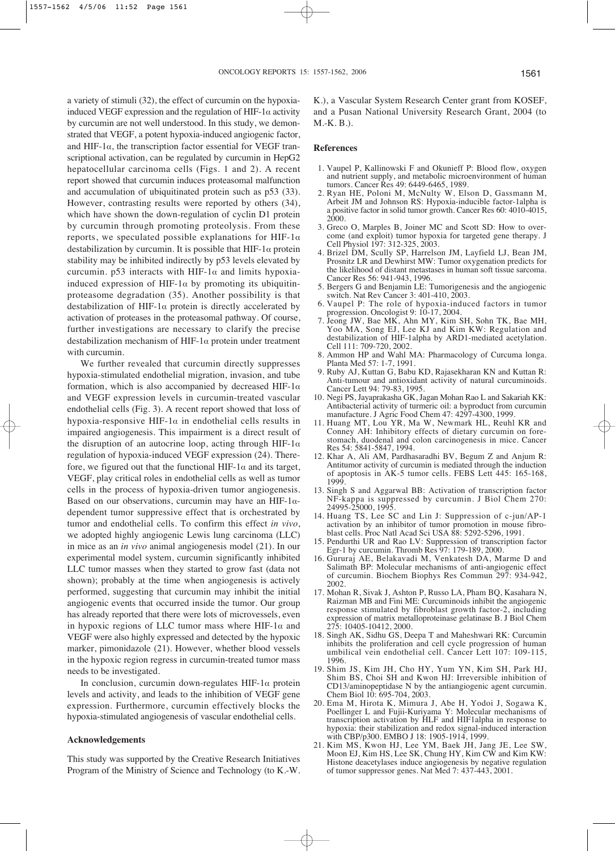a variety of stimuli (32), the effect of curcumin on the hypoxiainduced VEGF expression and the regulation of HIF-1 $\alpha$  activity by curcumin are not well understood. In this study, we demonstrated that VEGF, a potent hypoxia-induced angiogenic factor, and HIF-1 $\alpha$ , the transcription factor essential for VEGF transcriptional activation, can be regulated by curcumin in HepG2 hepatocellular carcinoma cells (Figs. 1 and 2). A recent report showed that curcumin induces proteasomal malfunction and accumulation of ubiquitinated protein such as p53 (33). However, contrasting results were reported by others (34), which have shown the down-regulation of cyclin D1 protein by curcumin through promoting proteolysis. From these reports, we speculated possible explanations for HIF-1 $\alpha$ destabilization by curcumin. It is possible that  $HIF-1\alpha$  protein stability may be inhibited indirectly by p53 levels elevated by curcumin. p53 interacts with HIF-1 $\alpha$  and limits hypoxiainduced expression of HIF-1 $\alpha$  by promoting its ubiquitinproteasome degradation (35). Another possibility is that destabilization of HIF-1 $\alpha$  protein is directly accelerated by activation of proteases in the proteasomal pathway. Of course, further investigations are necessary to clarify the precise destabilization mechanism of HIF-1 $\alpha$  protein under treatment with curcumin.

We further revealed that curcumin directly suppresses hypoxia-stimulated endothelial migration, invasion, and tube formation, which is also accompanied by decreased HIF-1 $\alpha$ and VEGF expression levels in curcumin-treated vascular endothelial cells (Fig. 3). A recent report showed that loss of hypoxia-responsive HIF-1 $\alpha$  in endothelial cells results in impaired angiogenesis. This impairment is a direct result of the disruption of an autocrine loop, acting through HIF-1 $\alpha$ regulation of hypoxia-induced VEGF expression (24). Therefore, we figured out that the functional HIF-1 $\alpha$  and its target, VEGF, play critical roles in endothelial cells as well as tumor cells in the process of hypoxia-driven tumor angiogenesis. Based on our observations, curcumin may have an HIF-1 $\alpha$ dependent tumor suppressive effect that is orchestrated by tumor and endothelial cells. To confirm this effect *in vivo*, we adopted highly angiogenic Lewis lung carcinoma (LLC) in mice as an *in vivo* animal angiogenesis model (21). In our experimental model system, curcumin significantly inhibited LLC tumor masses when they started to grow fast (data not shown); probably at the time when angiogenesis is actively performed, suggesting that curcumin may inhibit the initial angiogenic events that occurred inside the tumor. Our group has already reported that there were lots of microvessels, even in hypoxic regions of LLC tumor mass where HIF-1 $\alpha$  and VEGF were also highly expressed and detected by the hypoxic marker, pimonidazole (21). However, whether blood vessels in the hypoxic region regress in curcumin-treated tumor mass needs to be investigated.

In conclusion, curcumin down-regulates HIF-1 $\alpha$  protein levels and activity, and leads to the inhibition of VEGF gene expression. Furthermore, curcumin effectively blocks the hypoxia-stimulated angiogenesis of vascular endothelial cells.

#### **Acknowledgements**

This study was supported by the Creative Research Initiatives Program of the Ministry of Science and Technology (to K.-W. K.), a Vascular System Research Center grant from KOSEF, and a Pusan National University Research Grant, 2004 (to M.-K. B.).

#### **References**

- 1. Vaupel P, Kallinowski F and Okunieff P: Blood flow, oxygen and nutrient supply, and metabolic microenvironment of human tumors. Cancer Res 49: 6449-6465, 1989.
- 2. Ryan HE, Poloni M, McNulty W, Elson D, Gassmann M, Arbeit JM and Johnson RS: Hypoxia-inducible factor-1alpha is a positive factor in solid tumor growth. Cancer Res 60: 4010-4015, 2000.
- 3. Greco O, Marples B, Joiner MC and Scott SD: How to overcome (and exploit) tumor hypoxia for targeted gene therapy. J Cell Physiol 197: 312-325, 2003.
- 4. Brizel DM, Scully SP, Harrelson JM, Layfield LJ, Bean JM, Prosnitz LR and Dewhirst MW: Tumor oxygenation predicts for the likelihood of distant metastases in human soft tissue sarcoma. Cancer Res 56: 941-943, 1996.
- 5. Bergers G and Benjamin LE: Tumorigenesis and the angiogenic switch. Nat Rev Cancer 3: 401-410, 2003.
- 6. Vaupel P: The role of hypoxia-induced factors in tumor progression. Oncologist 9: 10-17, 2004.
- 7. Jeong JW, Bae MK, Ahn MY, Kim SH, Sohn TK, Bae MH, Yoo MA, Song EJ, Lee KJ and Kim KW: Regulation and destabilization of HIF-1alpha by ARD1-mediated acetylation. Cell 111: 709-720, 2002.
- 8. Ammon HP and Wahl MA: Pharmacology of Curcuma longa. Planta Med 57: 1-7, 1991.
- 9. Ruby AJ, Kuttan G, Babu KD, Rajasekharan KN and Kuttan R: Anti-tumour and antioxidant activity of natural curcuminoids. Cancer Lett 94: 79-83, 1995.
- 10. Negi PS, Jayaprakasha GK, Jagan Mohan Rao L and Sakariah KK: Antibacterial activity of turmeric oil: a byproduct from curcumin manufacture. J Agric Food Chem 47: 4297-4300, 1999.
- 11. Huang MT, Lou YR, Ma W, Newmark HL, Reuhl KR and Conney AH: Inhibitory effects of dietary curcumin on forestomach, duodenal and colon carcinogenesis in mice. Cancer Res 54: 5841-5847, 1994.
- 12. Khar A, Ali AM, Pardhasaradhi BV, Begum Z and Anjum R: Antitumor activity of curcumin is mediated through the induction of apoptosis in AK-5 tumor cells. FEBS Lett 445: 165-168, 1999.
- 13. Singh S and Aggarwal BB: Activation of transcription factor NF-kappa is suppressed by curcumin. J Biol Chem 270: 24995-25000, 1995.
- 14. Huang TS, Lee SC and Lin J: Suppression of c-jun/AP-1 activation by an inhibitor of tumor promotion in mouse fibroblast cells. Proc Natl Acad Sci USA 88: 5292-5296, 1991.
- 15. Pendurthi UR and Rao LV: Suppression of transcription factor Egr-1 by curcumin. Thromb Res 97: 179-189, 2000.
- 16. Gururaj AE, Belakavadi M, Venkatesh DA, Marme D and Salimath BP: Molecular mechanisms of anti-angiogenic effect of curcumin. Biochem Biophys Res Commun 297: 934-942, 2002.
- 17. Mohan R, Sivak J, Ashton P, Russo LA, Pham BQ, Kasahara N, Raizman MB and Fini ME: Curcuminoids inhibit the angiogenic response stimulated by fibroblast growth factor-2, including expression of matrix metalloproteinase gelatinase B. J Biol Chem 275: 10405-10412, 2000.
- 18. Singh AK, Sidhu GS, Deepa T and Maheshwari RK: Curcumin inhibits the proliferation and cell cycle progression of human umbilical vein endothelial cell. Cancer Lett 107: 109-115, 1996.
- 19. Shim JS, Kim JH, Cho HY, Yum YN, Kim SH, Park HJ, Shim BS, Choi SH and Kwon HJ: Irreversible inhibition of CD13/aminopeptidase N by the antiangiogenic agent curcumin. Chem Biol 10: 695-704, 2003.
- 20. Ema M, Hirota K, Mimura J, Abe H, Yodoi J, Sogawa K, Poellinger L and Fujii-Kuriyama Y: Molecular mechanisms of transcription activation by HLF and HIF1alpha in response to hypoxia: their stabilization and redox signal-induced interaction with CBP/p300. EMBO J 18: 1905-1914, 1999.
- 21. Kim MS, Kwon HJ, Lee YM, Baek JH, Jang JE, Lee SW, Moon EJ, Kim HS, Lee SK, Chung HY, Kim CW and Kim KW: Histone deacetylases induce angiogenesis by negative regulation of tumor suppressor genes. Nat Med 7: 437-443, 2001.